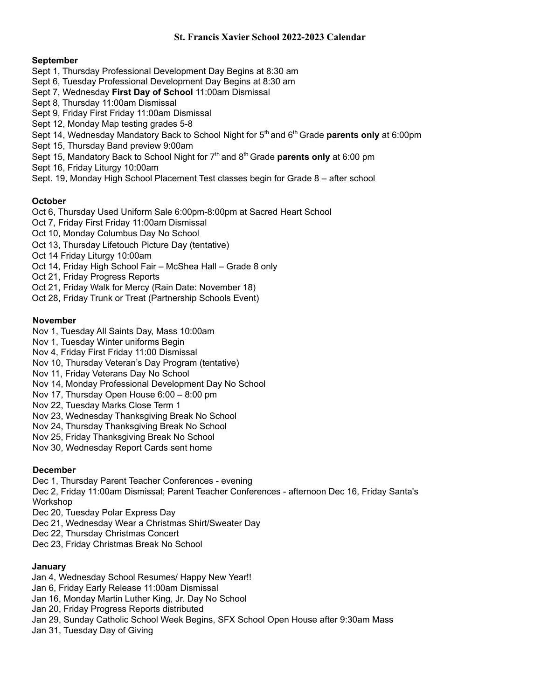### **St. Francis Xavier School 2022-2023 Calendar**

### **September**

- Sept 1, Thursday Professional Development Day Begins at 8:30 am
- Sept 6, Tuesday Professional Development Day Begins at 8:30 am
- Sept 7, Wednesday **First Day of School** 11:00am Dismissal
- Sept 8, Thursday 11:00am Dismissal
- Sept 9, Friday First Friday 11:00am Dismissal
- Sept 12, Monday Map testing grades 5-8
- Sept 14, Wednesday Mandatory Back to School Night for 5<sup>th</sup> and 6<sup>th</sup> Grade **parents only** at 6:00pm
- Sept 15, Thursday Band preview 9:00am
- Sept 15, Mandatory Back to School Night for 7<sup>th</sup> and 8<sup>th</sup> Grade **parents only** at 6:00 pm
- Sept 16, Friday Liturgy 10:00am
- Sept. 19, Monday High School Placement Test classes begin for Grade 8 after school

## **October**

Oct 6, Thursday Used Uniform Sale 6:00pm-8:00pm at Sacred Heart School

- Oct 7, Friday First Friday 11:00am Dismissal
- Oct 10, Monday Columbus Day No School
- Oct 13, Thursday Lifetouch Picture Day (tentative)
- Oct 14 Friday Liturgy 10:00am
- Oct 14, Friday High School Fair McShea Hall Grade 8 only
- Oct 21, Friday Progress Reports
- Oct 21, Friday Walk for Mercy (Rain Date: November 18)
- Oct 28, Friday Trunk or Treat (Partnership Schools Event)

### **November**

- Nov 1, Tuesday All Saints Day, Mass 10:00am
- Nov 1, Tuesday Winter uniforms Begin
- Nov 4, Friday First Friday 11:00 Dismissal
- Nov 10, Thursday Veteran's Day Program (tentative)
- Nov 11, Friday Veterans Day No School
- Nov 14, Monday Professional Development Day No School
- Nov 17, Thursday Open House 6:00 8:00 pm
- Nov 22, Tuesday Marks Close Term 1
- Nov 23, Wednesday Thanksgiving Break No School
- Nov 24, Thursday Thanksgiving Break No School
- Nov 25, Friday Thanksgiving Break No School
- Nov 30, Wednesday Report Cards sent home

## **December**

- Dec 1, Thursday Parent Teacher Conferences evening
- Dec 2, Friday 11:00am Dismissal; Parent Teacher Conferences afternoon Dec 16, Friday Santa's Workshop
- Dec 20, Tuesday Polar Express Day
- Dec 21, Wednesday Wear a Christmas Shirt/Sweater Day
- Dec 22, Thursday Christmas Concert
- Dec 23, Friday Christmas Break No School

#### **January**

- Jan 4, Wednesday School Resumes/ Happy New Year!!
- Jan 6, Friday Early Release 11:00am Dismissal
- Jan 16, Monday Martin Luther King, Jr. Day No School
- Jan 20, Friday Progress Reports distributed
- Jan 29, Sunday Catholic School Week Begins, SFX School Open House after 9:30am Mass
- Jan 31, Tuesday Day of Giving